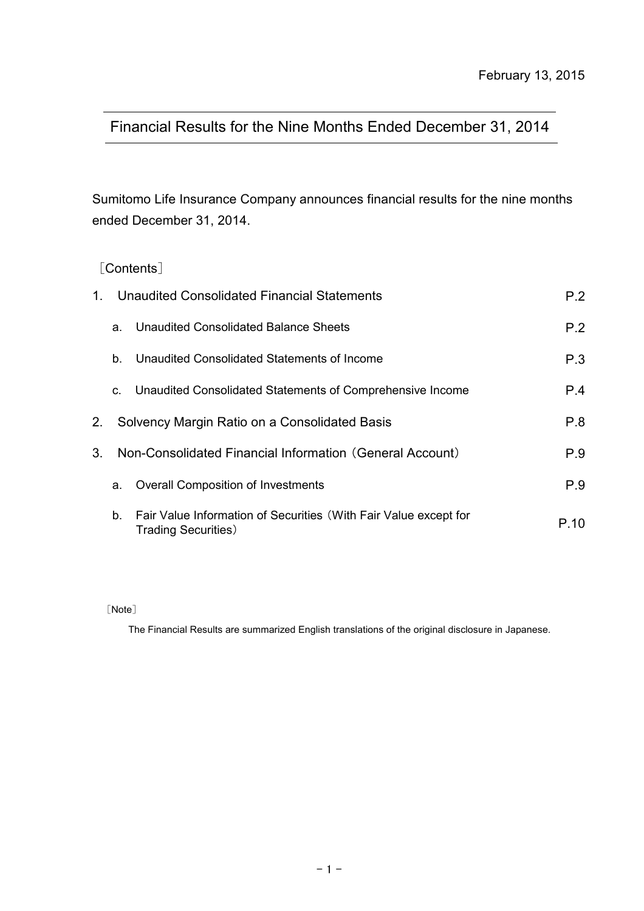# Financial Results for the Nine Months Ended December 31, 2014

Sumitomo Life Insurance Company announces financial results for the nine months ended December 31, 2014.

## [Contents]

| $1_{-}$        |    | Unaudited Consolidated Financial Statements                                                    | P.2  |
|----------------|----|------------------------------------------------------------------------------------------------|------|
|                | a. | Unaudited Consolidated Balance Sheets                                                          | P.2  |
|                | b. | Unaudited Consolidated Statements of Income                                                    | P.3  |
|                | C. | Unaudited Consolidated Statements of Comprehensive Income                                      | P.4  |
| 2.             |    | Solvency Margin Ratio on a Consolidated Basis                                                  | P.8  |
| 3 <sub>1</sub> |    | Non-Consolidated Financial Information (General Account)                                       | P.9  |
|                | a. | <b>Overall Composition of Investments</b>                                                      | P.9  |
|                | b. | Fair Value Information of Securities (With Fair Value except for<br><b>Trading Securities)</b> | P.10 |

[Note]

The Financial Results are summarized English translations of the original disclosure in Japanese.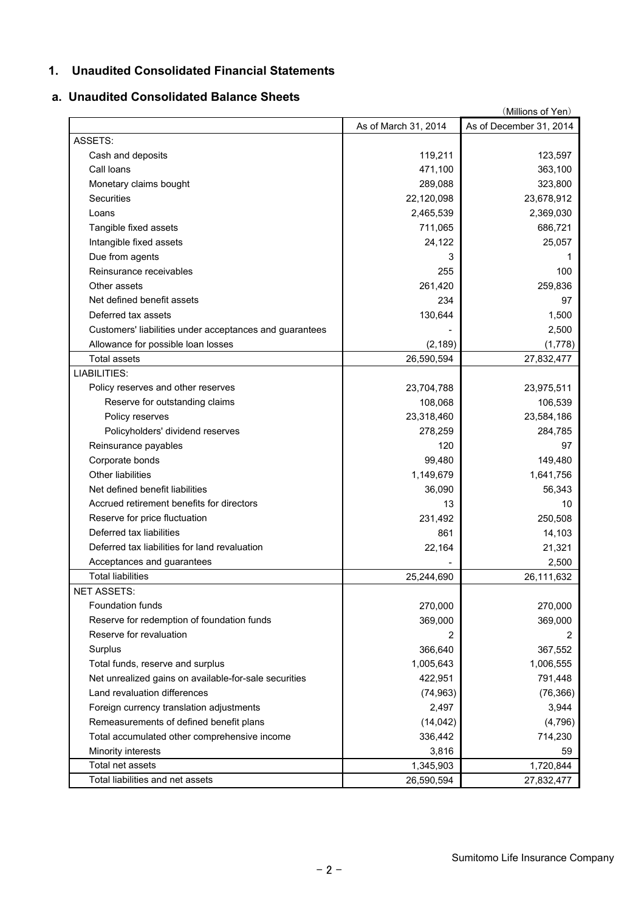### **1. Unaudited Consolidated Financial Statements**

# **a. Unaudited Consolidated Balance Sheets**

|                                                         |                      | (Millions of Yen)       |
|---------------------------------------------------------|----------------------|-------------------------|
|                                                         | As of March 31, 2014 | As of December 31, 2014 |
| ASSETS:                                                 |                      |                         |
| Cash and deposits                                       | 119,211              | 123,597                 |
| Call Ioans                                              | 471,100              | 363,100                 |
| Monetary claims bought                                  | 289,088              | 323,800                 |
| <b>Securities</b>                                       | 22,120,098           | 23,678,912              |
| Loans                                                   | 2,465,539            | 2,369,030               |
| Tangible fixed assets                                   | 711,065              | 686,721                 |
| Intangible fixed assets                                 | 24,122               | 25,057                  |
| Due from agents                                         | 3                    | 1                       |
| Reinsurance receivables                                 | 255                  | 100                     |
| Other assets                                            | 261,420              | 259,836                 |
| Net defined benefit assets                              | 234                  | 97                      |
| Deferred tax assets                                     | 130,644              | 1,500                   |
| Customers' liabilities under acceptances and guarantees |                      | 2,500                   |
| Allowance for possible loan losses                      | (2, 189)             | (1,778)                 |
| <b>Total assets</b>                                     | 26,590,594           | 27,832,477              |
| LIABILITIES:                                            |                      |                         |
| Policy reserves and other reserves                      | 23,704,788           | 23,975,511              |
| Reserve for outstanding claims                          | 108,068              | 106,539                 |
| Policy reserves                                         | 23,318,460           | 23,584,186              |
| Policyholders' dividend reserves                        | 278,259              | 284,785                 |
| Reinsurance payables                                    | 120                  | 97                      |
| Corporate bonds                                         | 99,480               | 149,480                 |
| <b>Other liabilities</b>                                | 1,149,679            | 1,641,756               |
| Net defined benefit liabilities                         | 36,090               | 56,343                  |
| Accrued retirement benefits for directors               | 13                   | 10                      |
| Reserve for price fluctuation                           | 231,492              | 250,508                 |
| Deferred tax liabilities                                | 861                  | 14,103                  |
| Deferred tax liabilities for land revaluation           | 22,164               | 21,321                  |
| Acceptances and guarantees                              |                      | 2,500                   |
| <b>Total liabilities</b>                                | 25,244,690           | 26,111,632              |
| <b>NET ASSETS:</b>                                      |                      |                         |
| Foundation funds                                        | 270,000              | 270,000                 |
| Reserve for redemption of foundation funds              | 369,000              | 369,000                 |
| Reserve for revaluation                                 | 2                    | 2                       |
| Surplus                                                 | 366,640              | 367,552                 |
| Total funds, reserve and surplus                        | 1,005,643            | 1,006,555               |
| Net unrealized gains on available-for-sale securities   | 422,951              | 791,448                 |
| Land revaluation differences                            | (74, 963)            | (76, 366)               |
| Foreign currency translation adjustments                | 2,497                | 3,944                   |
| Remeasurements of defined benefit plans                 | (14, 042)            | (4,796)                 |
| Total accumulated other comprehensive income            | 336,442              | 714,230                 |
| Minority interests                                      | 3,816                | 59                      |
| Total net assets                                        | 1,345,903            | 1,720,844               |
| Total liabilities and net assets                        | 26,590,594           | 27,832,477              |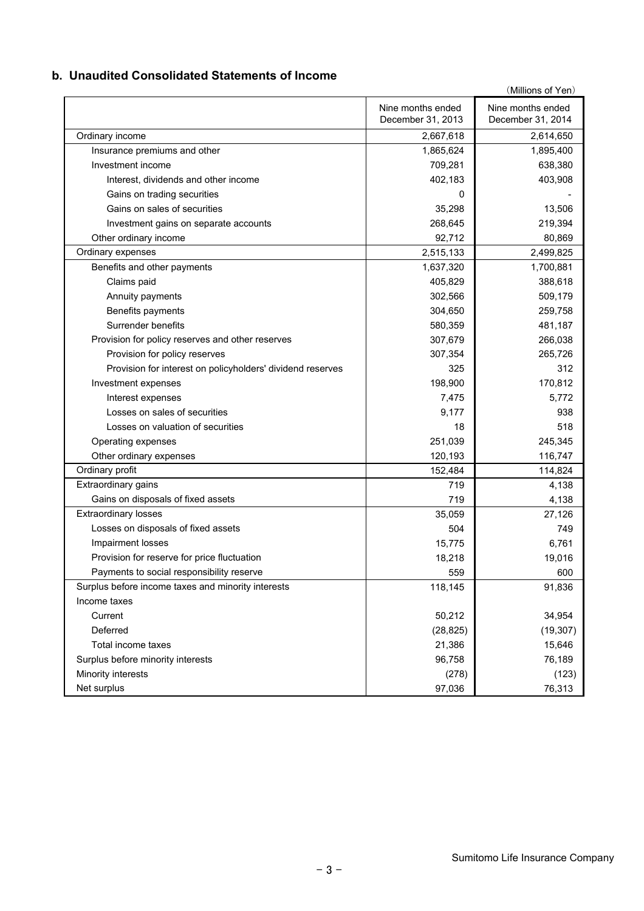### **b. Unaudited Consolidated Statements of Income**

|                                                            |                   | (Millions of Yen) |
|------------------------------------------------------------|-------------------|-------------------|
|                                                            | Nine months ended | Nine months ended |
|                                                            | December 31, 2013 | December 31, 2014 |
| Ordinary income                                            | 2,667,618         | 2,614,650         |
| Insurance premiums and other                               | 1,865,624         | 1,895,400         |
| Investment income                                          | 709,281           | 638,380           |
| Interest, dividends and other income                       | 402,183           | 403,908           |
| Gains on trading securities                                | 0                 |                   |
| Gains on sales of securities                               | 35,298            | 13,506            |
| Investment gains on separate accounts                      | 268,645           | 219,394           |
| Other ordinary income                                      | 92,712            | 80,869            |
| Ordinary expenses                                          | 2,515,133         | 2,499,825         |
| Benefits and other payments                                | 1,637,320         | 1,700,881         |
| Claims paid                                                | 405,829           | 388,618           |
| Annuity payments                                           | 302,566           | 509,179           |
| Benefits payments                                          | 304,650           | 259,758           |
| Surrender benefits                                         | 580,359           | 481,187           |
| Provision for policy reserves and other reserves           | 307,679           | 266,038           |
| Provision for policy reserves                              | 307,354           | 265,726           |
| Provision for interest on policyholders' dividend reserves | 325               | 312               |
| Investment expenses                                        | 198,900           | 170,812           |
| Interest expenses                                          | 7,475             | 5,772             |
| Losses on sales of securities                              | 9,177             | 938               |
| Losses on valuation of securities                          | 18                | 518               |
| Operating expenses                                         | 251,039           | 245,345           |
| Other ordinary expenses                                    | 120,193           | 116,747           |
| Ordinary profit                                            | 152,484           | 114,824           |
| Extraordinary gains                                        | 719               | 4,138             |
| Gains on disposals of fixed assets                         | 719               | 4,138             |
| <b>Extraordinary losses</b>                                | 35,059            | 27,126            |
| Losses on disposals of fixed assets                        | 504               | 749               |
| Impairment losses                                          | 15,775            | 6,761             |
| Provision for reserve for price fluctuation                | 18,218            | 19,016            |
| Payments to social responsibility reserve                  | 559               | 600               |
| Surplus before income taxes and minority interests         | 118,145           | 91,836            |
| Income taxes                                               |                   |                   |
| Current                                                    | 50,212            | 34,954            |
| Deferred                                                   | (28, 825)         | (19, 307)         |
| Total income taxes                                         | 21,386            | 15,646            |
| Surplus before minority interests                          | 96,758            | 76,189            |
| Minority interests                                         | (278)             | (123)             |
| Net surplus                                                | 97,036            | 76,313            |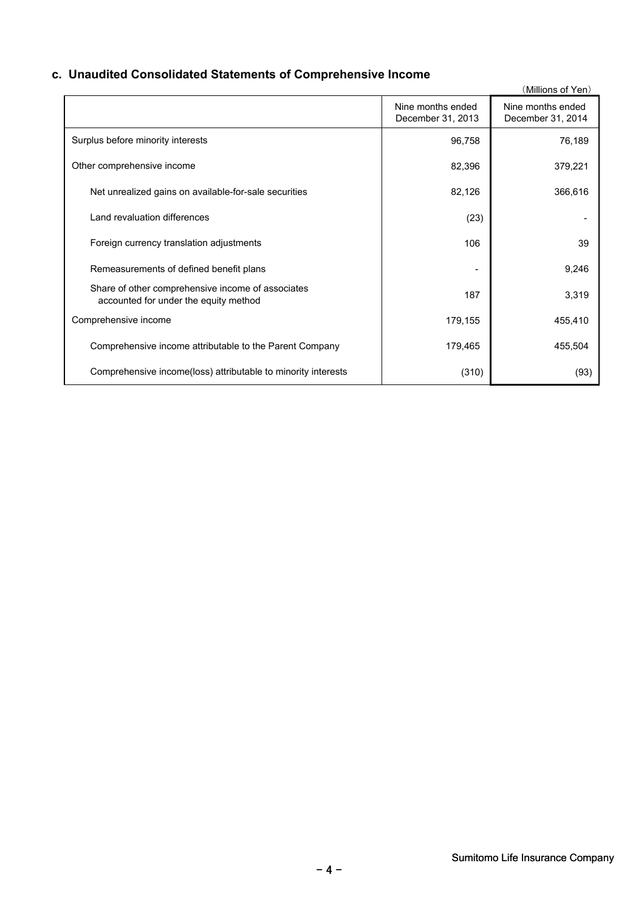# **c. Unaudited Consolidated Statements of Comprehensive Income**

|                                                                                            |                                        | (Millions of Yen)                      |
|--------------------------------------------------------------------------------------------|----------------------------------------|----------------------------------------|
|                                                                                            | Nine months ended<br>December 31, 2013 | Nine months ended<br>December 31, 2014 |
| Surplus before minority interests                                                          | 96,758                                 | 76,189                                 |
| Other comprehensive income                                                                 | 82,396                                 | 379,221                                |
| Net unrealized gains on available-for-sale securities                                      | 82,126                                 | 366,616                                |
| Land revaluation differences                                                               | (23)                                   |                                        |
| Foreign currency translation adjustments                                                   | 106                                    | 39                                     |
| Remeasurements of defined benefit plans                                                    |                                        | 9,246                                  |
| Share of other comprehensive income of associates<br>accounted for under the equity method | 187                                    | 3,319                                  |
| Comprehensive income                                                                       | 179,155                                | 455,410                                |
| Comprehensive income attributable to the Parent Company                                    | 179,465                                | 455,504                                |
| Comprehensive income(loss) attributable to minority interests                              | (310)                                  | (93)                                   |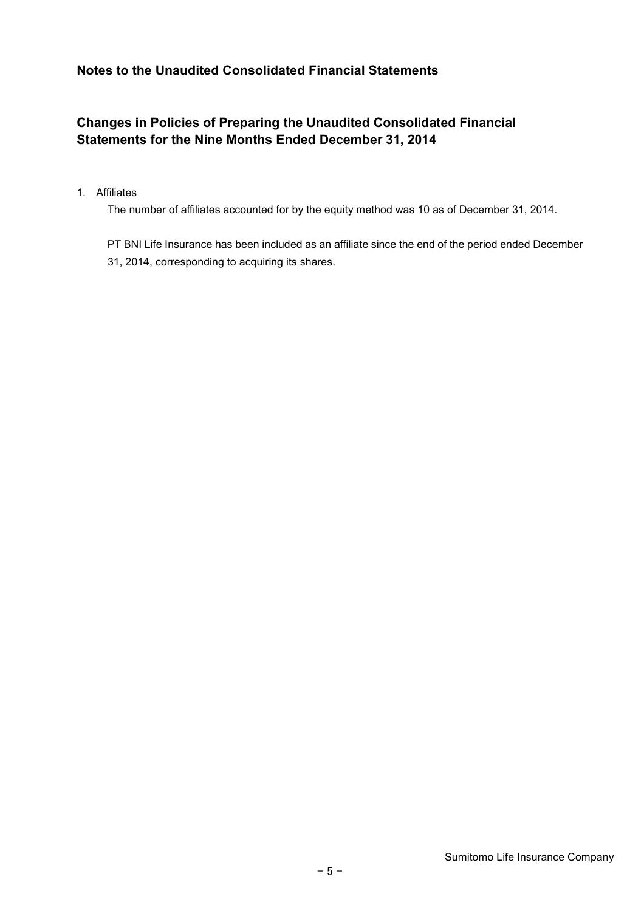# **Notes to the Unaudited Consolidated Financial Statements**

# **Changes in Policies of Preparing the Unaudited Consolidated Financial Statements for the Nine Months Ended December 31, 2014**

#### 1. Affiliates

The number of affiliates accounted for by the equity method was 10 as of December 31, 2014.

PT BNI Life Insurance has been included as an affiliate since the end of the period ended December 31, 2014, corresponding to acquiring its shares.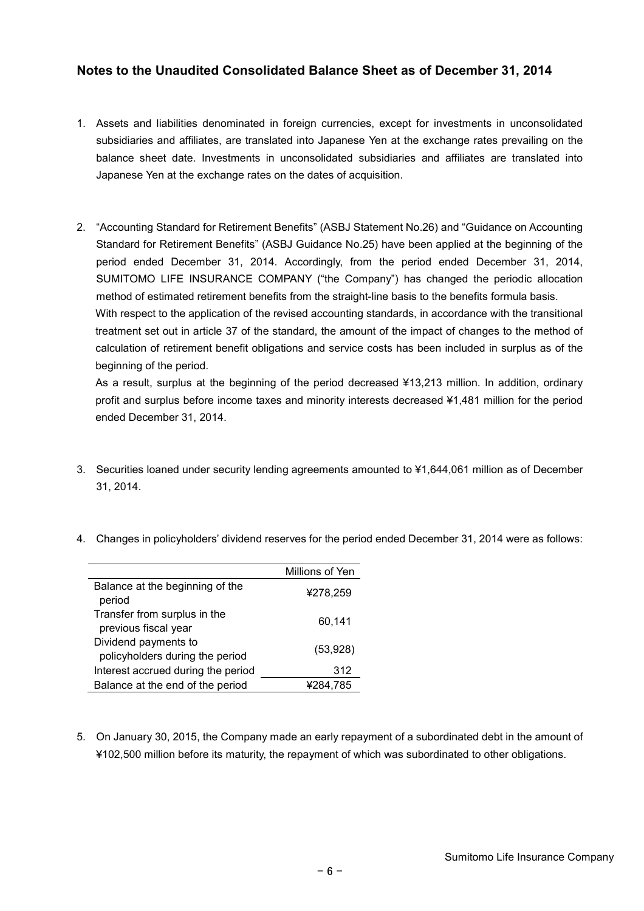### **Notes to the Unaudited Consolidated Balance Sheet as of December 31, 2014**

- 1. Assets and liabilities denominated in foreign currencies, except for investments in unconsolidated subsidiaries and affiliates, are translated into Japanese Yen at the exchange rates prevailing on the balance sheet date. Investments in unconsolidated subsidiaries and affiliates are translated into Japanese Yen at the exchange rates on the dates of acquisition.
- 2. "Accounting Standard for Retirement Benefits" (ASBJ Statement No.26) and "Guidance on Accounting Standard for Retirement Benefits" (ASBJ Guidance No.25) have been applied at the beginning of the period ended December 31, 2014. Accordingly, from the period ended December 31, 2014, SUMITOMO LIFE INSURANCE COMPANY ("the Company") has changed the periodic allocation method of estimated retirement benefits from the straight-line basis to the benefits formula basis. With respect to the application of the revised accounting standards, in accordance with the transitional treatment set out in article 37 of the standard, the amount of the impact of changes to the method of calculation of retirement benefit obligations and service costs has been included in surplus as of the

beginning of the period. As a result, surplus at the beginning of the period decreased ¥13,213 million. In addition, ordinary profit and surplus before income taxes and minority interests decreased ¥1,481 million for the period ended December 31, 2014.

- 3. Securities loaned under security lending agreements amounted to ¥1,644,061 million as of December 31, 2014.
- 4. Changes in policyholders' dividend reserves for the period ended December 31, 2014 were as follows:

|                                                         | Millions of Yen |
|---------------------------------------------------------|-----------------|
| Balance at the beginning of the<br>period               | ¥278,259        |
| Transfer from surplus in the<br>previous fiscal year    | 60,141          |
| Dividend payments to<br>policyholders during the period | (53, 928)       |
| Interest accrued during the period                      | 312             |
| Balance at the end of the period                        | ¥284,785        |

5. On January 30, 2015, the Company made an early repayment of a subordinated debt in the amount of ¥102,500 million before its maturity, the repayment of which was subordinated to other obligations.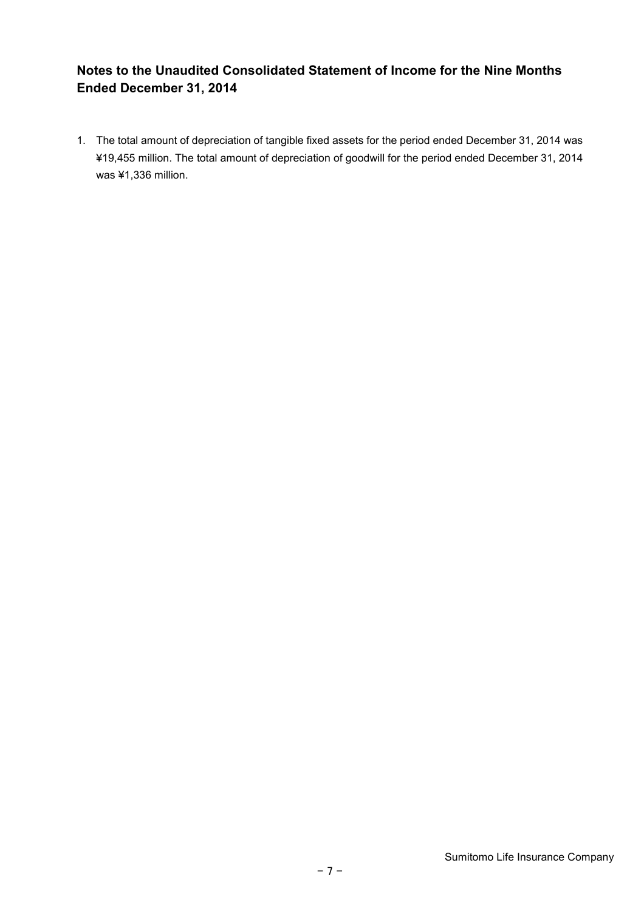# **Notes to the Unaudited Consolidated Statement of Income for the Nine Months Ended December 31, 2014**

1. The total amount of depreciation of tangible fixed assets for the period ended December 31, 2014 was ¥19,455 million. The total amount of depreciation of goodwill for the period ended December 31, 2014 was ¥1,336 million.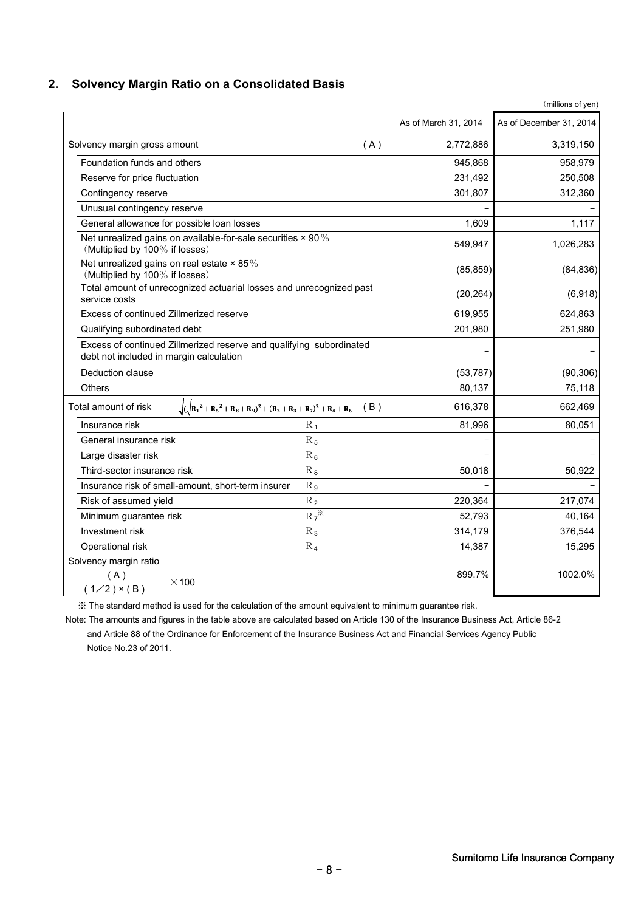### **2. Solvency Margin Ratio on a Consolidated Basis**

|                                                                                                                |                      | (millions of yen)       |
|----------------------------------------------------------------------------------------------------------------|----------------------|-------------------------|
|                                                                                                                | As of March 31, 2014 | As of December 31, 2014 |
| Solvency margin gross amount<br>(A)                                                                            | 2,772,886            | 3,319,150               |
| Foundation funds and others                                                                                    | 945,868              | 958,979                 |
| Reserve for price fluctuation                                                                                  | 231,492              | 250,508                 |
| Contingency reserve                                                                                            | 301,807              | 312,360                 |
| Unusual contingency reserve                                                                                    |                      |                         |
| General allowance for possible loan losses                                                                     | 1,609                | 1,117                   |
| Net unrealized gains on available-for-sale securities $\times$ 90%<br>(Multiplied by 100% if losses)           | 549,947              | 1,026,283               |
| Net unrealized gains on real estate $\times$ 85%<br>(Multiplied by 100% if losses)                             | (85, 859)            | (84, 836)               |
| Total amount of unrecognized actuarial losses and unrecognized past<br>service costs                           | (20, 264)            | (6,918)                 |
| Excess of continued Zillmerized reserve                                                                        | 619,955              | 624,863                 |
| Qualifying subordinated debt                                                                                   | 201,980              | 251,980                 |
| Excess of continued Zillmerized reserve and qualifying subordinated<br>debt not included in margin calculation |                      |                         |
| Deduction clause                                                                                               | (53, 787)            | (90, 306)               |
| <b>Others</b>                                                                                                  | 80,137               | 75,118                  |
| $\sqrt{(\sqrt{R_1^2 + R_5^2} + R_8 + R_9)^2 + (R_2 + R_3 + R_7)^2 + R_4 + R_6}$ (B)<br>Total amount of risk    | 616,378              | 662,469                 |
| Insurance risk<br>$R_1$                                                                                        | 81,996               | 80,051                  |
| General insurance risk<br>$\rm R_5$                                                                            |                      |                         |
| Large disaster risk<br>$R_6$                                                                                   |                      |                         |
| $\rm R_{\,8}$<br>Third-sector insurance risk                                                                   | 50,018               | 50,922                  |
| Insurance risk of small-amount, short-term insurer<br>$R_{9}$                                                  |                      |                         |
| $R_2$<br>Risk of assumed yield                                                                                 | 220,364              | 217,074                 |
| $R_7$ <sup>*</sup><br>Minimum guarantee risk                                                                   | 52,793               | 40,164                  |
| Investment risk<br>$R_3$                                                                                       | 314,179              | 376,544                 |
| $R_4$<br>Operational risk                                                                                      | 14,387               | 15,295                  |
| Solvency margin ratio<br>$\frac{1}{(1/2) \times (B)}$ × 100                                                    | 899.7%               | 1002.0%                 |

※ The standard method is used for the calculation of the amount equivalent to minimum guarantee risk.

Note: The amounts and figures in the table above are calculated based on Article 130 of the Insurance Business Act, Article 86-2 and Article 88 of the Ordinance for Enforcement of the Insurance Business Act and Financial Services Agency Public Notice No.23 of 2011.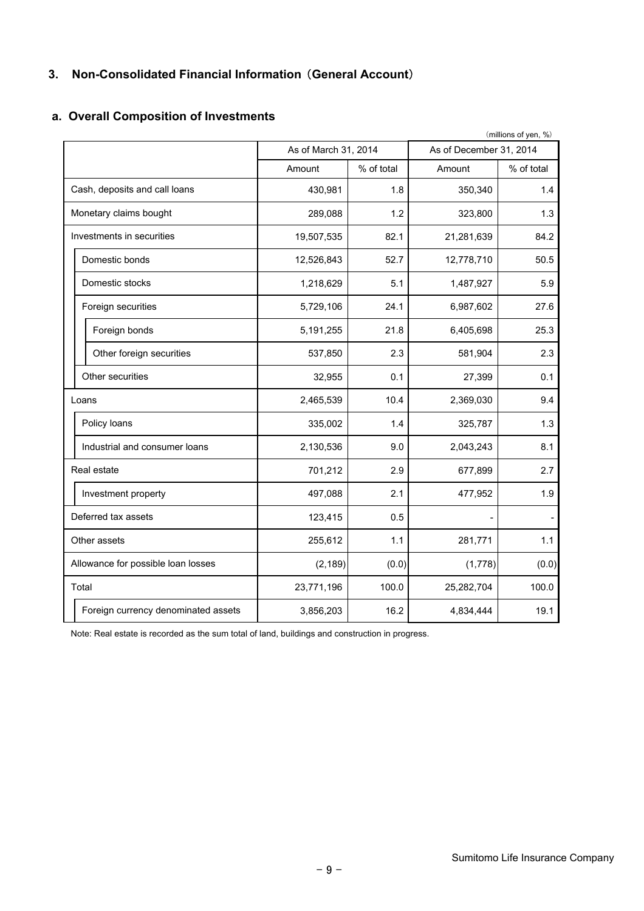# **3. Non-Consolidated Financial Information** (**General Account**)

# **a. Overall Composition of Investments**

|                                    |                                     | (millions of yen, %) |            |                         |            |  |
|------------------------------------|-------------------------------------|----------------------|------------|-------------------------|------------|--|
|                                    |                                     | As of March 31, 2014 |            | As of December 31, 2014 |            |  |
|                                    |                                     | Amount               | % of total | Amount                  | % of total |  |
|                                    | Cash, deposits and call loans       | 430,981              | 1.8        | 350,340                 | 1.4        |  |
|                                    | Monetary claims bought              | 289,088              | 1.2        | 323,800                 | 1.3        |  |
|                                    | Investments in securities           | 19,507,535           | 82.1       | 21,281,639              | 84.2       |  |
|                                    | Domestic bonds                      | 12,526,843           | 52.7       | 12,778,710              | 50.5       |  |
|                                    | Domestic stocks                     | 1,218,629            | 5.1        | 1,487,927               | 5.9        |  |
|                                    | Foreign securities                  | 5,729,106            | 24.1       | 6,987,602               | 27.6       |  |
|                                    | Foreign bonds                       | 5,191,255            | 21.8       | 6,405,698               | 25.3       |  |
|                                    | Other foreign securities            | 537,850              | 2.3        | 581,904                 | 2.3        |  |
|                                    | Other securities                    | 32,955               | 0.1        | 27,399                  | 0.1        |  |
|                                    | Loans                               | 2,465,539            | 10.4       | 2,369,030               | 9.4        |  |
|                                    | Policy loans                        | 335,002              | 1.4        | 325,787                 | 1.3        |  |
|                                    | Industrial and consumer loans       | 2,130,536            | 9.0        | 2,043,243               | 8.1        |  |
|                                    | Real estate                         | 701,212              | 2.9        | 677,899                 | 2.7        |  |
|                                    | Investment property                 | 497,088              | 2.1        | 477,952                 | 1.9        |  |
|                                    | Deferred tax assets                 | 123,415              | 0.5        |                         |            |  |
| Other assets                       |                                     | 255,612              | 1.1        | 281,771                 | 1.1        |  |
| Allowance for possible loan losses |                                     | (2, 189)             | (0.0)      | (1,778)                 | (0.0)      |  |
|                                    | Total                               | 23,771,196           | 100.0      | 25,282,704              | 100.0      |  |
|                                    | Foreign currency denominated assets | 3,856,203            | 16.2       | 4,834,444               | 19.1       |  |

Note: Real estate is recorded as the sum total of land, buildings and construction in progress.